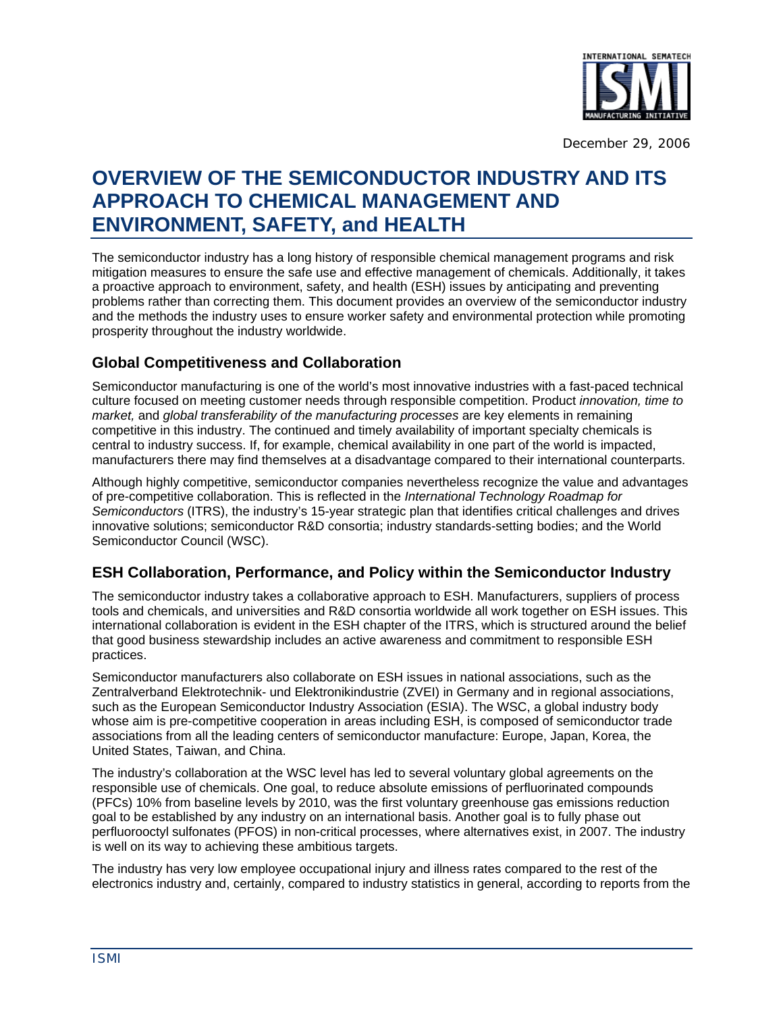

# **OVERVIEW OF THE SEMICONDUCTOR INDUSTRY AND ITS APPROACH TO CHEMICAL MANAGEMENT AND ENVIRONMENT, SAFETY, and HEALTH**

The semiconductor industry has a long history of responsible chemical management programs and risk mitigation measures to ensure the safe use and effective management of chemicals. Additionally, it takes a proactive approach to environment, safety, and health (ESH) issues by anticipating and preventing problems rather than correcting them. This document provides an overview of the semiconductor industry and the methods the industry uses to ensure worker safety and environmental protection while promoting prosperity throughout the industry worldwide.

### **Global Competitiveness and Collaboration**

Semiconductor manufacturing is one of the world's most innovative industries with a fast-paced technical culture focused on meeting customer needs through responsible competition. Product *innovation, time to market,* and *global transferability of the manufacturing processes* are key elements in remaining competitive in this industry. The continued and timely availability of important specialty chemicals is central to industry success. If, for example, chemical availability in one part of the world is impacted, manufacturers there may find themselves at a disadvantage compared to their international counterparts.

Although highly competitive, semiconductor companies nevertheless recognize the value and advantages of pre-competitive collaboration. This is reflected in the *International Technology Roadmap for Semiconductors* (ITRS), the industry's 15-year strategic plan that identifies critical challenges and drives innovative solutions; semiconductor R&D consortia; industry standards-setting bodies; and the World Semiconductor Council (WSC).

#### **ESH Collaboration, Performance, and Policy within the Semiconductor Industry**

The semiconductor industry takes a collaborative approach to ESH. Manufacturers, suppliers of process tools and chemicals, and universities and R&D consortia worldwide all work together on ESH issues. This international collaboration is evident in the ESH chapter of the ITRS, which is structured around the belief that good business stewardship includes an active awareness and commitment to responsible ESH practices.

Semiconductor manufacturers also collaborate on ESH issues in national associations, such as the Zentralverband Elektrotechnik- und Elektronikindustrie (ZVEI) in Germany and in regional associations, such as the European Semiconductor Industry Association (ESIA). The WSC, a global industry body whose aim is pre-competitive cooperation in areas including ESH, is composed of semiconductor trade associations from all the leading centers of semiconductor manufacture: Europe, Japan, Korea, the United States, Taiwan, and China.

The industry's collaboration at the WSC level has led to several voluntary global agreements on the responsible use of chemicals. One goal, to reduce absolute emissions of perfluorinated compounds (PFCs) 10% from baseline levels by 2010, was the first voluntary greenhouse gas emissions reduction goal to be established by any industry on an international basis. Another goal is to fully phase out perfluorooctyl sulfonates (PFOS) in non-critical processes, where alternatives exist, in 2007. The industry is well on its way to achieving these ambitious targets.

The industry has very low employee occupational injury and illness rates compared to the rest of the electronics industry and, certainly, compared to industry statistics in general, according to reports from the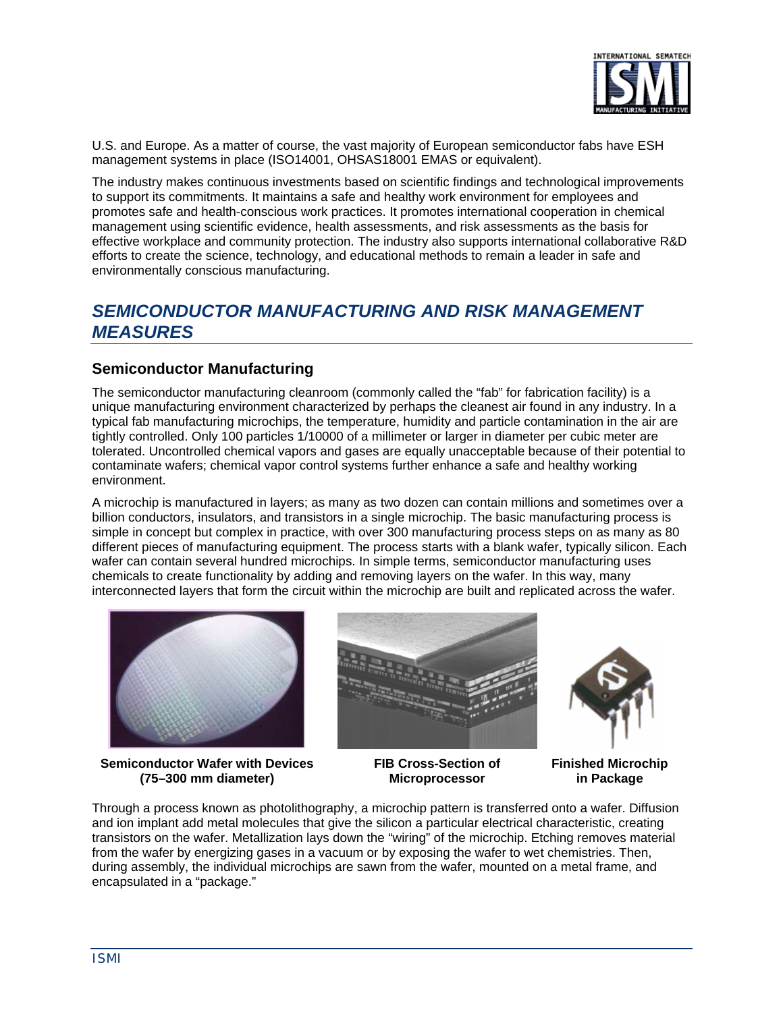

U.S. and Europe. As a matter of course, the vast majority of European semiconductor fabs have ESH management systems in place (ISO14001, OHSAS18001 EMAS or equivalent).

The industry makes continuous investments based on scientific findings and technological improvements to support its commitments. It maintains a safe and healthy work environment for employees and promotes safe and health-conscious work practices. It promotes international cooperation in chemical management using scientific evidence, health assessments, and risk assessments as the basis for effective workplace and community protection. The industry also supports international collaborative R&D efforts to create the science, technology, and educational methods to remain a leader in safe and environmentally conscious manufacturing.

## *SEMICONDUCTOR MANUFACTURING AND RISK MANAGEMENT MEASURES*

#### **Semiconductor Manufacturing**

The semiconductor manufacturing cleanroom (commonly called the "fab" for fabrication facility) is a unique manufacturing environment characterized by perhaps the cleanest air found in any industry. In a typical fab manufacturing microchips, the temperature, humidity and particle contamination in the air are tightly controlled. Only 100 particles 1/10000 of a millimeter or larger in diameter per cubic meter are tolerated. Uncontrolled chemical vapors and gases are equally unacceptable because of their potential to contaminate wafers; chemical vapor control systems further enhance a safe and healthy working environment.

A microchip is manufactured in layers; as many as two dozen can contain millions and sometimes over a billion conductors, insulators, and transistors in a single microchip. The basic manufacturing process is simple in concept but complex in practice, with over 300 manufacturing process steps on as many as 80 different pieces of manufacturing equipment. The process starts with a blank wafer, typically silicon. Each wafer can contain several hundred microchips. In simple terms, semiconductor manufacturing uses chemicals to create functionality by adding and removing layers on the wafer. In this way, many interconnected layers that form the circuit within the microchip are built and replicated across the wafer.



**Semiconductor Wafer with Devices FIB Cross-Section of Finished Microchip (75–300 mm diameter) Microprocessor in Package** 





Through a process known as photolithography, a microchip pattern is transferred onto a wafer. Diffusion and ion implant add metal molecules that give the silicon a particular electrical characteristic, creating transistors on the wafer. Metallization lays down the "wiring" of the microchip. Etching removes material from the wafer by energizing gases in a vacuum or by exposing the wafer to wet chemistries. Then, during assembly, the individual microchips are sawn from the wafer, mounted on a metal frame, and encapsulated in a "package."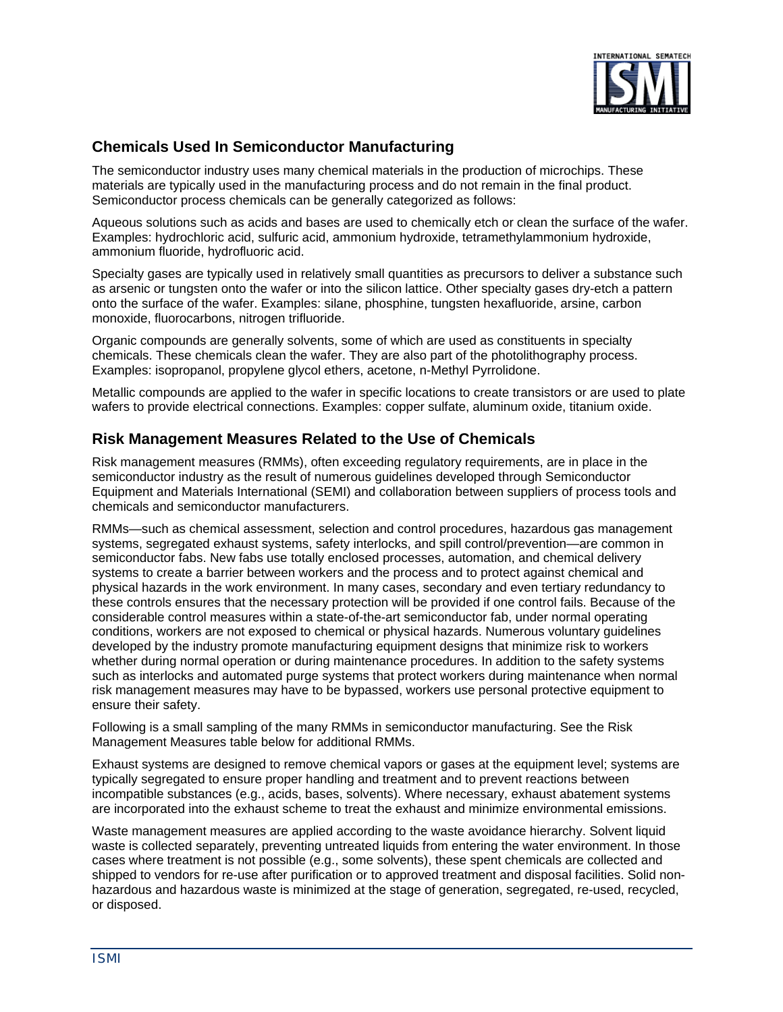

#### **Chemicals Used In Semiconductor Manufacturing**

The semiconductor industry uses many chemical materials in the production of microchips. These materials are typically used in the manufacturing process and do not remain in the final product. Semiconductor process chemicals can be generally categorized as follows:

Aqueous solutions such as acids and bases are used to chemically etch or clean the surface of the wafer. Examples: hydrochloric acid, sulfuric acid, ammonium hydroxide, tetramethylammonium hydroxide, ammonium fluoride, hydrofluoric acid.

Specialty gases are typically used in relatively small quantities as precursors to deliver a substance such as arsenic or tungsten onto the wafer or into the silicon lattice. Other specialty gases dry-etch a pattern onto the surface of the wafer. Examples: silane, phosphine, tungsten hexafluoride, arsine, carbon monoxide, fluorocarbons, nitrogen trifluoride.

Organic compounds are generally solvents, some of which are used as constituents in specialty chemicals. These chemicals clean the wafer. They are also part of the photolithography process. Examples: isopropanol, propylene glycol ethers, acetone, n-Methyl Pyrrolidone.

Metallic compounds are applied to the wafer in specific locations to create transistors or are used to plate wafers to provide electrical connections. Examples: copper sulfate, aluminum oxide, titanium oxide.

#### **Risk Management Measures Related to the Use of Chemicals**

Risk management measures (RMMs), often exceeding regulatory requirements, are in place in the semiconductor industry as the result of numerous guidelines developed through Semiconductor Equipment and Materials International (SEMI) and collaboration between suppliers of process tools and chemicals and semiconductor manufacturers.

RMMs—such as chemical assessment, selection and control procedures, hazardous gas management systems, segregated exhaust systems, safety interlocks, and spill control/prevention—are common in semiconductor fabs. New fabs use totally enclosed processes, automation, and chemical delivery systems to create a barrier between workers and the process and to protect against chemical and physical hazards in the work environment. In many cases, secondary and even tertiary redundancy to these controls ensures that the necessary protection will be provided if one control fails. Because of the considerable control measures within a state-of-the-art semiconductor fab, under normal operating conditions, workers are not exposed to chemical or physical hazards. Numerous voluntary guidelines developed by the industry promote manufacturing equipment designs that minimize risk to workers whether during normal operation or during maintenance procedures. In addition to the safety systems such as interlocks and automated purge systems that protect workers during maintenance when normal risk management measures may have to be bypassed, workers use personal protective equipment to ensure their safety.

Following is a small sampling of the many RMMs in semiconductor manufacturing. See the Risk Management Measures table below for additional RMMs.

Exhaust systems are designed to remove chemical vapors or gases at the equipment level; systems are typically segregated to ensure proper handling and treatment and to prevent reactions between incompatible substances (e.g., acids, bases, solvents). Where necessary, exhaust abatement systems are incorporated into the exhaust scheme to treat the exhaust and minimize environmental emissions.

Waste management measures are applied according to the waste avoidance hierarchy. Solvent liquid waste is collected separately, preventing untreated liquids from entering the water environment. In those cases where treatment is not possible (e.g., some solvents), these spent chemicals are collected and shipped to vendors for re-use after purification or to approved treatment and disposal facilities. Solid nonhazardous and hazardous waste is minimized at the stage of generation, segregated, re-used, recycled, or disposed.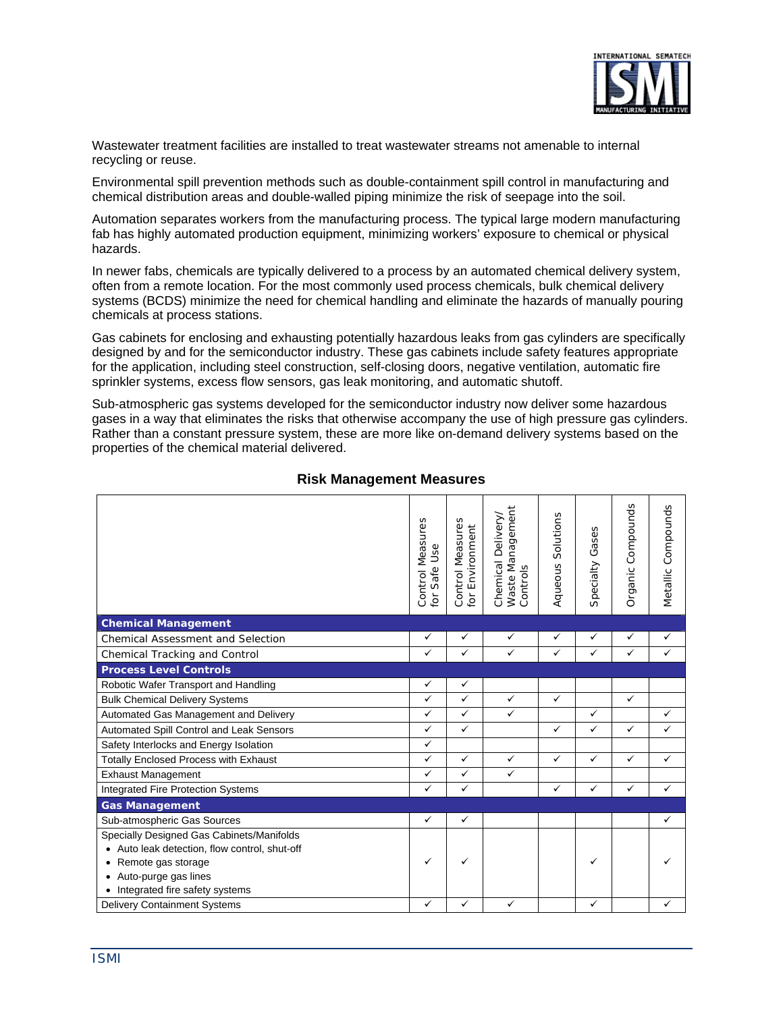

Wastewater treatment facilities are installed to treat wastewater streams not amenable to internal recycling or reuse.

Environmental spill prevention methods such as double-containment spill control in manufacturing and chemical distribution areas and double-walled piping minimize the risk of seepage into the soil.

Automation separates workers from the manufacturing process. The typical large modern manufacturing fab has highly automated production equipment, minimizing workers' exposure to chemical or physical hazards.

In newer fabs, chemicals are typically delivered to a process by an automated chemical delivery system, often from a remote location. For the most commonly used process chemicals, bulk chemical delivery systems (BCDS) minimize the need for chemical handling and eliminate the hazards of manually pouring chemicals at process stations.

Gas cabinets for enclosing and exhausting potentially hazardous leaks from gas cylinders are specifically designed by and for the semiconductor industry. These gas cabinets include safety features appropriate for the application, including steel construction, self-closing doors, negative ventilation, automatic fire sprinkler systems, excess flow sensors, gas leak monitoring, and automatic shutoff.

Sub-atmospheric gas systems developed for the semiconductor industry now deliver some hazardous gases in a way that eliminates the risks that otherwise accompany the use of high pressure gas cylinders. Rather than a constant pressure system, these are more like on-demand delivery systems based on the properties of the chemical material delivered.

|                                               | Control Measures<br>for Safe Use | Control Measures<br>Environment<br>for | Waste Management<br>Chemical Delivery<br>Controls | Solutions<br>Aqueous | Gases<br>Specialty | Organic Compounds | Metallic Compounds |
|-----------------------------------------------|----------------------------------|----------------------------------------|---------------------------------------------------|----------------------|--------------------|-------------------|--------------------|
| <b>Chemical Management</b>                    |                                  |                                        |                                                   |                      |                    |                   |                    |
| Chemical Assessment and Selection             | $\checkmark$                     | $\checkmark$                           | $\checkmark$                                      | ✓                    | ✓                  | $\checkmark$      | ✓                  |
| Chemical Tracking and Control                 | $\checkmark$                     | $\checkmark$                           | $\checkmark$                                      | $\checkmark$         | $\checkmark$       | $\checkmark$      | $\checkmark$       |
| <b>Process Level Controls</b>                 |                                  |                                        |                                                   |                      |                    |                   |                    |
| Robotic Wafer Transport and Handling          | ✓                                | $\checkmark$                           |                                                   |                      |                    |                   |                    |
| <b>Bulk Chemical Delivery Systems</b>         | $\checkmark$                     | $\checkmark$                           | $\checkmark$                                      | $\checkmark$         |                    | $\checkmark$      |                    |
| Automated Gas Management and Delivery         | $\checkmark$                     | $\checkmark$                           | $\checkmark$                                      |                      | $\checkmark$       |                   | $\checkmark$       |
| Automated Spill Control and Leak Sensors      | $\checkmark$                     | $\checkmark$                           |                                                   | $\checkmark$         | $\checkmark$       | $\checkmark$      | $\checkmark$       |
| Safety Interlocks and Energy Isolation        | $\checkmark$                     |                                        |                                                   |                      |                    |                   |                    |
| <b>Totally Enclosed Process with Exhaust</b>  | $\checkmark$                     | $\checkmark$                           | $\checkmark$                                      | $\checkmark$         | $\checkmark$       | $\checkmark$      | $\checkmark$       |
| <b>Exhaust Management</b>                     | $\checkmark$                     | $\checkmark$                           | $\checkmark$                                      |                      |                    |                   |                    |
| Integrated Fire Protection Systems            | ✓                                | $\checkmark$                           |                                                   | ✓                    | $\checkmark$       | $\checkmark$      | $\checkmark$       |
| <b>Gas Management</b>                         |                                  |                                        |                                                   |                      |                    |                   |                    |
| Sub-atmospheric Gas Sources                   | $\checkmark$                     | $\checkmark$                           |                                                   |                      |                    |                   | $\checkmark$       |
| Specially Designed Gas Cabinets/Manifolds     |                                  |                                        |                                                   |                      |                    |                   |                    |
| • Auto leak detection, flow control, shut-off |                                  |                                        |                                                   |                      |                    |                   |                    |
| Remote gas storage                            | ✓                                | ✓                                      |                                                   |                      | ✓                  |                   |                    |
| Auto-purge gas lines                          |                                  |                                        |                                                   |                      |                    |                   |                    |
| Integrated fire safety systems                |                                  |                                        |                                                   |                      |                    |                   |                    |
| <b>Delivery Containment Systems</b>           | ✓                                | ✓                                      | ✓                                                 |                      | ✓                  |                   | ✓                  |

#### **Risk Management Measures**